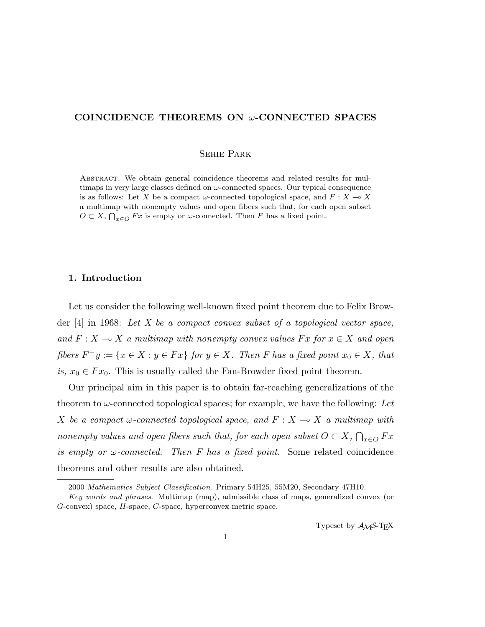# COINCIDENCE THEOREMS ON  $\omega$ -CONNECTED SPACES

#### Sehie Park

Abstract. We obtain general coincidence theorems and related results for multimaps in very large classes defined on  $\omega$ -connected spaces. Our typical consequence is as follows: Let X be a compact  $\omega$ -connected topological space, and  $F: X \to X$ a multimap with nonempty values and open fibers such that, for each open subset  $O \subset X$ ,  $\bigcap_{x \in O} F_x$  is empty or  $\omega$ -connected. Then F has a fixed point.

# 1. Introduction

Let us consider the following well-known fixed point theorem due to Felix Browder  $[4]$  in 1968: Let X be a compact convex subset of a topological vector space, and  $F: X \to X$  a multimap with nonempty convex values  $Fx$  for  $x \in X$  and open fibers  $F^-y := \{x \in X : y \in Fx\}$  for  $y \in X$ . Then F has a fixed point  $x_0 \in X$ , that is,  $x_0 \in F x_0$ . This is usually called the Fan-Browder fixed point theorem.

Our principal aim in this paper is to obtain far-reaching generalizations of the theorem to  $\omega$ -connected topological spaces; for example, we have the following: Let X be a compact  $\omega$ -connected topological space, and  $F : X \longrightarrow X$  a multimap with nonempty values and open fibers such that, for each open subset  $O \subset X$ ,  $\overline{a}$  $_{x\in O}$   $Fx$ is empty or  $\omega$ -connected. Then F has a fixed point. Some related coincidence theorems and other results are also obtained.

Typeset by  $\mathcal{A}_{\mathcal{M}}\mathcal{S}\text{-}\mathrm{Tr}X$ 

<sup>2000</sup> Mathematics Subject Classification. Primary 54H25, 55M20, Secondary 47H10.

Key words and phrases. Multimap (map), admissible class of maps, generalized convex (or G-convex) space, H-space, C-space, hyperconvex metric space.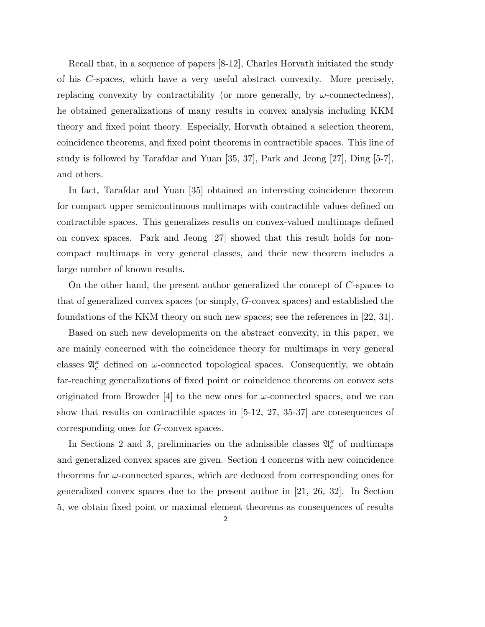Recall that, in a sequence of papers [8-12], Charles Horvath initiated the study of his C-spaces, which have a very useful abstract convexity. More precisely, replacing convexity by contractibility (or more generally, by  $\omega$ -connectedness), he obtained generalizations of many results in convex analysis including KKM theory and fixed point theory. Especially, Horvath obtained a selection theorem, coincidence theorems, and fixed point theorems in contractible spaces. This line of study is followed by Tarafdar and Yuan [35, 37], Park and Jeong [27], Ding [5-7], and others.

In fact, Tarafdar and Yuan [35] obtained an interesting coincidence theorem for compact upper semicontinuous multimaps with contractible values defined on contractible spaces. This generalizes results on convex-valued multimaps defined on convex spaces. Park and Jeong [27] showed that this result holds for noncompact multimaps in very general classes, and their new theorem includes a large number of known results.

On the other hand, the present author generalized the concept of C-spaces to that of generalized convex spaces (or simply, G-convex spaces) and established the foundations of the KKM theory on such new spaces; see the references in [22, 31].

Based on such new developments on the abstract convexity, in this paper, we are mainly concerned with the coincidence theory for multimaps in very general classes  $\mathfrak{A}_{c}^{\kappa}$  defined on  $\omega$ -connected topological spaces. Consequently, we obtain far-reaching generalizations of fixed point or coincidence theorems on convex sets originated from Browder [4] to the new ones for  $\omega$ -connected spaces, and we can show that results on contractible spaces in [5-12, 27, 35-37] are consequences of corresponding ones for G-convex spaces.

In Sections 2 and 3, preliminaries on the admissible classes  $\mathfrak{A}_{c}^{\kappa}$  of multimaps and generalized convex spaces are given. Section 4 concerns with new coincidence theorems for  $\omega$ -connected spaces, which are deduced from corresponding ones for generalized convex spaces due to the present author in [21, 26, 32]. In Section 5, we obtain fixed point or maximal element theorems as consequences of results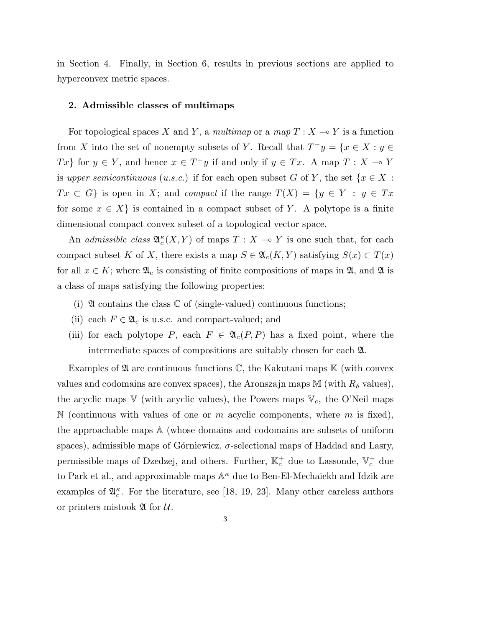in Section 4. Finally, in Section 6, results in previous sections are applied to hyperconvex metric spaces.

### 2. Admissible classes of multimaps

For topological spaces X and Y, a multimap or a map  $T : X \longrightarrow Y$  is a function from X into the set of nonempty subsets of Y. Recall that  $T^{-}y = \{x \in X : y \in$ Tx for  $y \in Y$ , and hence  $x \in T^{-}y$  if and only if  $y \in Tx$ . A map  $T : X \to Y$ is upper semicontinuous (u.s.c.) if for each open subset G of Y, the set  $\{x \in X :$  $Tx \subset G$  is open in X; and compact if the range  $T(X) = \{y \in Y : y \in Tx\}$ for some  $x \in X$  is contained in a compact subset of Y. A polytope is a finite dimensional compact convex subset of a topological vector space.

An *admissible class*  $\mathfrak{A}_{c}^{\kappa}(X, Y)$  of maps  $T : X \to Y$  is one such that, for each compact subset K of X, there exists a map  $S \in \mathfrak{A}_{c}(K, Y)$  satisfying  $S(x) \subset T(x)$ for all  $x \in K$ ; where  $\mathfrak{A}_c$  is consisting of finite compositions of maps in  $\mathfrak{A}$ , and  $\mathfrak{A}$  is a class of maps satisfying the following properties:

- (i)  $\mathfrak A$  contains the class  $\mathbb C$  of (single-valued) continuous functions;
- (ii) each  $F \in \mathfrak{A}_c$  is u.s.c. and compact-valued; and
- (iii) for each polytope P, each  $F \in \mathfrak{A}_c(P, P)$  has a fixed point, where the intermediate spaces of compositions are suitably chosen for each A.

Examples of  $\mathfrak A$  are continuous functions  $\mathbb C$ , the Kakutani maps  $\mathbb K$  (with convex values and codomains are convex spaces), the Aronszajn maps M (with  $R_{\delta}$  values), the acyclic maps  $V$  (with acyclic values), the Powers maps  $V_c$ , the O'Neil maps N (continuous with values of one or  $m$  acyclic components, where  $m$  is fixed), the approachable maps A (whose domains and codomains are subsets of uniform spaces), admissible maps of Górniewicz,  $\sigma$ -selectional maps of Haddad and Lasry, permissible maps of Dzedzej, and others. Further,  $\mathbb{K}_c^+$  due to Lassonde,  $\mathbb{V}_c^+$  due to Park et al., and approximable maps  $\mathbb{A}^{\kappa}$  due to Ben-El-Mechaiekh and Idzik are examples of  $\mathfrak{A}_{c}^{\kappa}$ . For the literature, see [18, 19, 23]. Many other careless authors or printers mistook  $\mathfrak A$  for  $\mathcal U$ .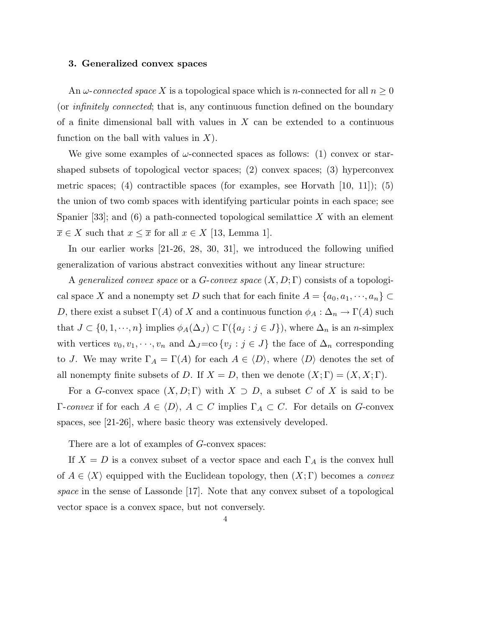#### 3. Generalized convex spaces

An  $\omega$ -connected space X is a topological space which is n-connected for all  $n \geq 0$ (or infinitely connected; that is, any continuous function defined on the boundary of a finite dimensional ball with values in  $X$  can be extended to a continuous function on the ball with values in  $X$ ).

We give some examples of  $\omega$ -connected spaces as follows: (1) convex or starshaped subsets of topological vector spaces; (2) convex spaces; (3) hyperconvex metric spaces; (4) contractible spaces (for examples, see Horvath  $[10, 11]$ ); (5) the union of two comb spaces with identifying particular points in each space; see Spanier [33]; and (6) a path-connected topological semilattice X with an element  $\overline{x} \in X$  such that  $x \leq \overline{x}$  for all  $x \in X$  [13, Lemma 1].

In our earlier works [21-26, 28, 30, 31], we introduced the following unified generalization of various abstract convexities without any linear structure:

A generalized convex space or a G-convex space  $(X, D; \Gamma)$  consists of a topological space X and a nonempty set D such that for each finite  $A = \{a_0, a_1, \dots, a_n\} \subset$ D, there exist a subset  $\Gamma(A)$  of X and a continuous function  $\phi_A : \Delta_n \to \Gamma(A)$  such that  $J \subset \{0, 1, \dots, n\}$  implies  $\phi_A(\Delta_J) \subset \Gamma(\{a_j : j \in J\})$ , where  $\Delta_n$  is an *n*-simplex with vertices  $v_0, v_1, \dots, v_n$  and  $\Delta_J = \text{co}\{v_j : j \in J\}$  the face of  $\Delta_n$  corresponding to J. We may write  $\Gamma_A = \Gamma(A)$  for each  $A \in \langle D \rangle$ , where  $\langle D \rangle$  denotes the set of all nonempty finite subsets of D. If  $X = D$ , then we denote  $(X; \Gamma) = (X, X; \Gamma)$ .

For a G-convex space  $(X, D; \Gamma)$  with  $X \supset D$ , a subset C of X is said to be Γ-convex if for each  $A \in \langle D \rangle$ ,  $A \subset C$  implies  $\Gamma_A \subset C$ . For details on G-convex spaces, see [21-26], where basic theory was extensively developed.

There are a lot of examples of G-convex spaces:

If  $X = D$  is a convex subset of a vector space and each  $\Gamma_A$  is the convex hull of  $A \in \langle X \rangle$  equipped with the Euclidean topology, then  $(X; \Gamma)$  becomes a *convex* space in the sense of Lassonde [17]. Note that any convex subset of a topological vector space is a convex space, but not conversely.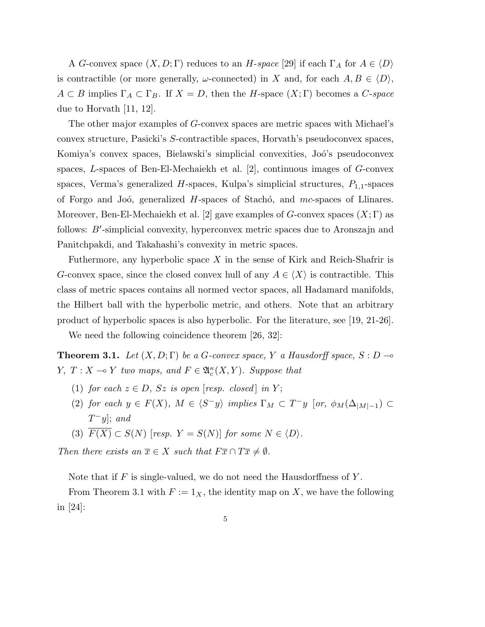A G-convex space  $(X, D; \Gamma)$  reduces to an H-space [29] if each  $\Gamma_A$  for  $A \in \langle D \rangle$ is contractible (or more generally,  $\omega$ -connected) in X and, for each  $A, B \in \langle D \rangle$ ,  $A \subset B$  implies  $\Gamma_A \subset \Gamma_B$ . If  $X = D$ , then the H-space  $(X; \Gamma)$  becomes a C-space due to Horvath [11, 12].

The other major examples of G-convex spaces are metric spaces with Michael's convex structure, Pasicki's S-contractible spaces, Horvath's pseudoconvex spaces, Komiya's convex spaces, Bielawski's simplicial convexities, Joó's pseudoconvex spaces, L-spaces of Ben-El-Mechaiekh et al. [2], continuous images of G-convex spaces, Verma's generalized  $H$ -spaces, Kulpa's simplicial structures,  $P_{1,1}$ -spaces of Forgo and Joó, generalized  $H$ -spaces of Stachó, and mc-spaces of Llinares. Moreover, Ben-El-Mechaiekh et al. [2] gave examples of G-convex spaces  $(X; \Gamma)$  as follows:  $B'$ -simplicial convexity, hyperconvex metric spaces due to Aronszajn and Panitchpakdi, and Takahashi's convexity in metric spaces.

Futhermore, any hyperbolic space  $X$  in the sense of Kirk and Reich-Shafrir is G-convex space, since the closed convex hull of any  $A \in \langle X \rangle$  is contractible. This class of metric spaces contains all normed vector spaces, all Hadamard manifolds, the Hilbert ball with the hyperbolic metric, and others. Note that an arbitrary product of hyperbolic spaces is also hyperbolic. For the literature, see [19, 21-26].

We need the following coincidence theorem [26, 32]:

**Theorem 3.1.** Let  $(X, D; \Gamma)$  be a G-convex space, Y a Hausdorff space,  $S: D \rightarrow$  $Y, T : X \longrightarrow Y$  two maps, and  $F \in \mathfrak{A}_{c}^{\kappa}(X, Y)$ . Suppose that

- (1) for each  $z \in D$ , Sz is open [resp. closed] in Y;
- (2) for each  $y \in F(X)$ ,  $M \in \langle S^-y \rangle$  implies  $\Gamma_M \subset T^-y$  [or,  $\phi_M(\Delta_{|M|-1}) \subset$  $T^{\dagger}y$ ; and
- (3)  $\overline{F(X)} \subset S(N)$  [resp.  $Y = S(N)$ ] for some  $N \in \langle D \rangle$ .

Then there exists an  $\overline{x} \in X$  such that  $F\overline{x} \cap T\overline{x} \neq \emptyset$ .

Note that if  $F$  is single-valued, we do not need the Hausdorffness of  $Y$ .

From Theorem 3.1 with  $F := 1_X$ , the identity map on X, we have the following in [24]: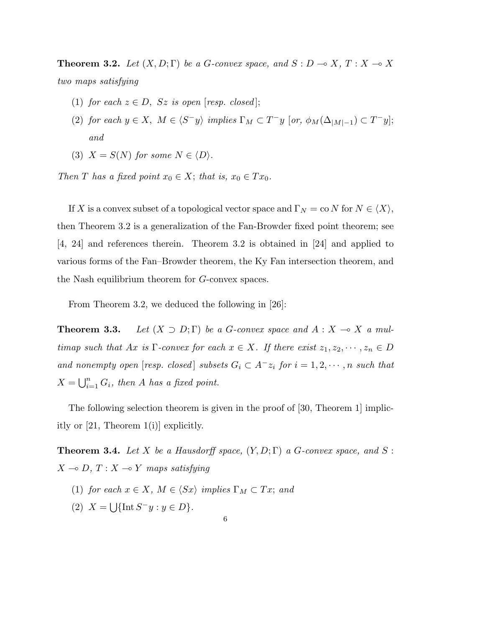**Theorem 3.2.** Let  $(X, D; \Gamma)$  be a G-convex space, and  $S : D \to X, T : X \to X$ two maps satisfying

- (1) for each  $z \in D$ ,  $Sz$  is open [resp. closed];
- (2) for each  $y \in X$ ,  $M \in \langle S^-y \rangle$  implies  $\Gamma_M \subset T^-y$  [or,  $\phi_M(\Delta_{|M|-1}) \subset T^-y$ ]; and
- (3)  $X = S(N)$  for some  $N \in \langle D \rangle$ .

Then T has a fixed point  $x_0 \in X$ ; that is,  $x_0 \in Tx_0$ .

If X is a convex subset of a topological vector space and  $\Gamma_N = \text{co } N$  for  $N \in \langle X \rangle$ , then Theorem 3.2 is a generalization of the Fan-Browder fixed point theorem; see [4, 24] and references therein. Theorem 3.2 is obtained in [24] and applied to various forms of the Fan–Browder theorem, the Ky Fan intersection theorem, and the Nash equilibrium theorem for G-convex spaces.

From Theorem 3.2, we deduced the following in [26]:

**Theorem 3.3.** Let  $(X \supset D; \Gamma)$  be a G-convex space and  $A: X \to X$  a multimap such that Ax is  $\Gamma$ -convex for each  $x \in X$ . If there exist  $z_1, z_2, \dots, z_n \in D$ and nonempty open [resp. closed] subsets  $G_i \subset A^- z_i$  for  $i = 1, 2, \dots, n$  such that  $X=\bigcup_{i=1}^n$  $\sum_{i=1}^{n} G_i$ , then A has a fixed point.

The following selection theorem is given in the proof of [30, Theorem 1] implicitly or [21, Theorem 1(i)] explicitly.

**Theorem 3.4.** Let X be a Hausdorff space,  $(Y, D; \Gamma)$  a G-convex space, and S:  $X \multimap D, T : X \multimap Y$  maps satisfying

- (1) for each  $x \in X$ ,  $M \in \langle Sx \rangle$  implies  $\Gamma_M \subset Tx$ ; and
- $(2) X =$ S  $\{\text{Int}\,S^{-}y: y\in D\}.$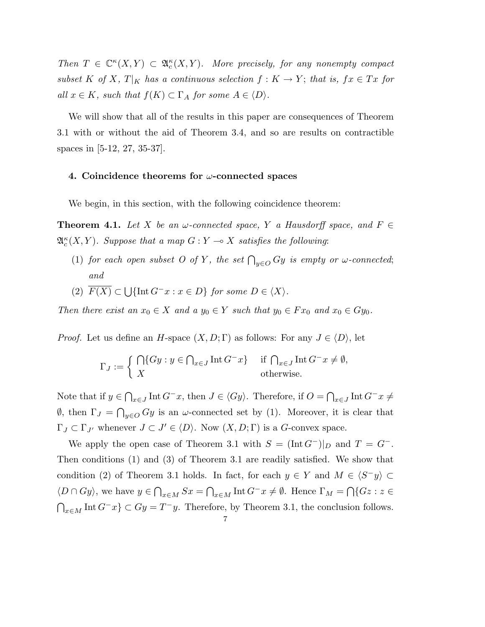Then  $T \in \mathbb{C}^{\kappa}(X,Y) \subset \mathfrak{A}_{c}^{\kappa}(X,Y)$ . More precisely, for any nonempty compact subset K of X,  $T|_K$  has a continuous selection  $f: K \to Y$ ; that is,  $fx \in Tx$  for all  $x \in K$ , such that  $f(K) \subset \Gamma_A$  for some  $A \in \langle D \rangle$ .

We will show that all of the results in this paper are consequences of Theorem 3.1 with or without the aid of Theorem 3.4, and so are results on contractible spaces in [5-12, 27, 35-37].

### 4. Coincidence theorems for  $\omega$ -connected spaces

We begin, in this section, with the following coincidence theorem:

**Theorem 4.1.** Let X be an  $\omega$ -connected space, Y a Hausdorff space, and F  $\mathfrak{A}^{\kappa}_c(X, Y)$ . Suppose that a map  $G: Y \multimap X$  satisfies the following:

- (1) for each open subset O of Y, the set  $\bigcap_{y\in O} Gy$  is empty or  $\omega$ -connected; and
- $(2)$   $F(X) \subset$  $\bigcup \{\text{Int } G^{-}x : x \in D\}$  for some  $D \in \langle X \rangle$ .

Then there exist an  $x_0 \in X$  and a  $y_0 \in Y$  such that  $y_0 \in Fx_0$  and  $x_0 \in Gy_0$ .

*Proof.* Let us define an H-space  $(X, D; \Gamma)$  as follows: For any  $J \in \langle D \rangle$ , let

$$
\Gamma_J := \begin{cases} \bigcap \{ Gy : y \in \bigcap_{x \in J} \text{Int } G^- x \} & \text{if } \bigcap_{x \in J} \text{Int } G^- x \neq \emptyset, \\ X & \text{otherwise.} \end{cases}
$$

Note that if  $y \in$  $\overline{a}$  $x \in J$  Int  $G^-x$ , then  $J \in \langle Gy \rangle$ . Therefore, if  $O = \bigcap$  $x \in J$  Int  $G^-x \neq$  $\emptyset$ , then  $\Gamma_J =$  $\overline{a}$  $y \in O$  Gy is an  $\omega$ -connected set by (1). Moreover, it is clear that  $\Gamma_J \subset \Gamma_{J'}$  whenever  $J \subset J' \in \langle D \rangle$ . Now  $(X, D; \Gamma)$  is a G-convex space.

We apply the open case of Theorem 3.1 with  $S = (\text{Int } G^-)|_D$  and  $T = G^-$ . Then conditions (1) and (3) of Theorem 3.1 are readily satisfied. We show that condition (2) of Theorem 3.1 holds. In fact, for each  $y \in Y$  and  $M \in \langle S^-y \rangle \subset Y$  $\langle D \cap Gy \rangle$ , we have  $y \in$  $\overline{a}$  $x\in M$   $Sx =$  $\bigcap_{x \in M} \text{Int} G^{-}x \neq \emptyset$ . Hence  $\Gamma_M = \bigcap$  ${Gz : z \in$  $\bigcap_{x\in M} \text{Int } G^-x \} \subset Gy = T^-y$ . Therefore, by Theorem 3.1, the conclusion follows.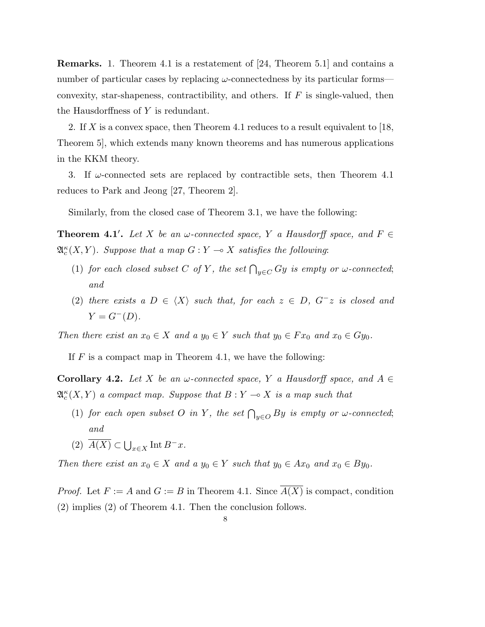Remarks. 1. Theorem 4.1 is a restatement of [24, Theorem 5.1] and contains a number of particular cases by replacing  $\omega$ -connectedness by its particular forms convexity, star-shapeness, contractibility, and others. If  $F$  is single-valued, then the Hausdorffness of Y is redundant.

2. If X is a convex space, then Theorem 4.1 reduces to a result equivalent to [18, Theorem 5], which extends many known theorems and has numerous applications in the KKM theory.

3. If  $\omega$ -connected sets are replaced by contractible sets, then Theorem 4.1 reduces to Park and Jeong [27, Theorem 2].

Similarly, from the closed case of Theorem 3.1, we have the following:

**Theorem 4.1'.** Let X be an  $\omega$ -connected space, Y a Hausdorff space, and  $F \in$  $\mathfrak{A}^{\kappa}_c(X, Y)$ . Suppose that a map  $G: Y \multimap X$  satisfies the following:

- (1) for each closed subset C of Y, the set  $\bigcap_{y\in C} Gy$  is empty or  $\omega$ -connected; and
- (2) there exists a  $D \in \langle X \rangle$  such that, for each  $z \in D$ ,  $G^-z$  is closed and  $Y = G^{-}(D).$

Then there exist an  $x_0 \in X$  and a  $y_0 \in Y$  such that  $y_0 \in Fx_0$  and  $x_0 \in Gy_0$ .

If  $F$  is a compact map in Theorem 4.1, we have the following:

**Corollary 4.2.** Let X be an  $\omega$ -connected space, Y a Hausdorff space, and  $A \in$  $\mathfrak{A}^{\kappa}_c(X, Y)$  a compact map. Suppose that  $B: Y \multimap X$  is a map such that

- (1) for each open subset O in Y, the set  $\bigcap_{y\in O} By$  is empty or  $\omega$ -connected; and
- $(2)$   $A(X) \subset$  $\bigcup_{x\in X} \text{Int} B^{-}x.$

Then there exist an  $x_0 \in X$  and a  $y_0 \in Y$  such that  $y_0 \in Ax_0$  and  $x_0 \in By_0$ .

*Proof.* Let  $F := A$  and  $G := B$  in Theorem 4.1. Since  $\overline{A(X)}$  is compact, condition (2) implies (2) of Theorem 4.1. Then the conclusion follows.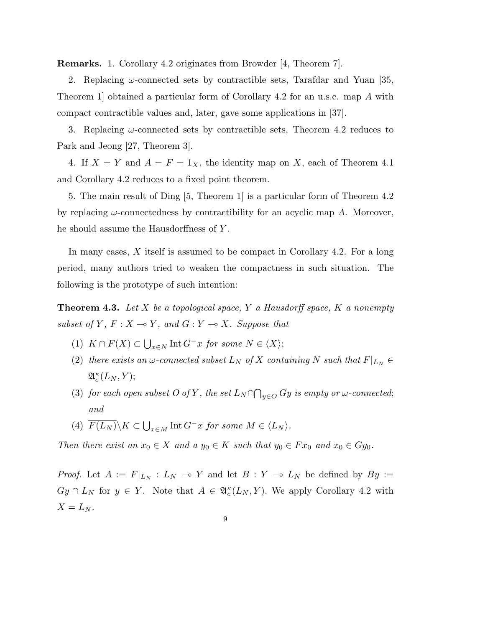Remarks. 1. Corollary 4.2 originates from Browder [4, Theorem 7].

2. Replacing  $\omega$ -connected sets by contractible sets, Tarafdar and Yuan [35, Theorem 1] obtained a particular form of Corollary 4.2 for an u.s.c. map A with compact contractible values and, later, gave some applications in [37].

3. Replacing  $\omega$ -connected sets by contractible sets, Theorem 4.2 reduces to Park and Jeong [27, Theorem 3].

4. If  $X = Y$  and  $A = F = 1_X$ , the identity map on X, each of Theorem 4.1 and Corollary 4.2 reduces to a fixed point theorem.

5. The main result of Ding [5, Theorem 1] is a particular form of Theorem 4.2 by replacing  $\omega$ -connectedness by contractibility for an acyclic map A. Moreover, he should assume the Hausdorffness of Y .

In many cases, X itself is assumed to be compact in Corollary 4.2. For a long period, many authors tried to weaken the compactness in such situation. The following is the prototype of such intention:

**Theorem 4.3.** Let X be a topological space, Y a Hausdorff space, K a nonempty subset of Y,  $F: X \longrightarrow Y$ , and  $G: Y \longrightarrow X$ . Suppose that

- $(1) K \cap F(X) \subset$  $\bigcup_{x \in N} \text{Int } G^{-}x$  for some  $N \in \langle X \rangle;$
- (2) there exists an  $\omega$ -connected subset  $L_N$  of X containing N such that  $F|_{L_N} \in$  $\mathfrak{A}^\kappa_c(L_N,Y);$
- (3) for each open subset O of Y, the set  $L_N \cap$  $\overline{a}$  $_{y\in O}$  Gy is empty or  $\omega$ -connected; and
- (4)  $F(L_N)\backslash K\subset$  $\bigcup_{x \in M} \text{Int } G^{-}x$  for some  $M \in \langle L_N \rangle$ .

Then there exist an  $x_0 \in X$  and a  $y_0 \in K$  such that  $y_0 \in Fx_0$  and  $x_0 \in Gy_0$ .

*Proof.* Let  $A := F|_{L_N} : L_N \multimap Y$  and let  $B : Y \multimap L_N$  be defined by  $By :=$  $Gy \cap L_N$  for  $y \in Y$ . Note that  $A \in \mathfrak{A}_{c}^{\kappa}(L_N, Y)$ . We apply Corollary 4.2 with  $X=L_N$ .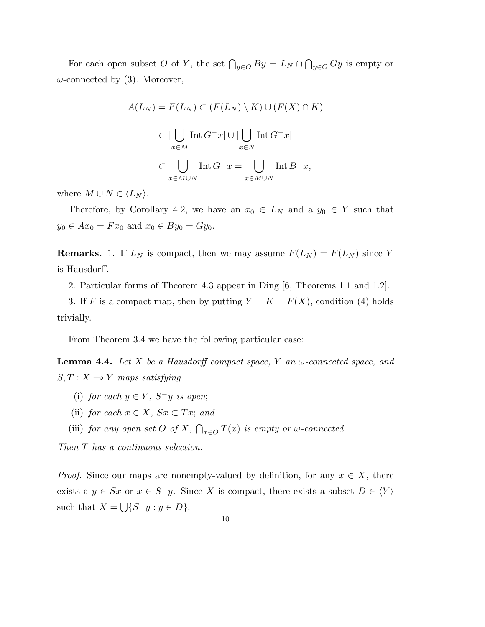For each open subset O of Y, the set  $\bigcap_{y\in O} By = L_N \cap$  $\overline{a}$  $y \in O$  Gy is empty or  $\omega$ -connected by (3). Moreover,

$$
\overline{A(L_N)} = \overline{F(L_N)} \subset (\overline{F(L_N)} \setminus K) \cup (\overline{F(X)} \cap K)
$$

$$
\subset \left[\bigcup_{x \in M} \text{Int } G^-x \right] \cup \left[\bigcup_{x \in N} \text{Int } G^-x \right]
$$

$$
\subset \bigcup_{x \in M \cup N} \text{Int } G^-x = \bigcup_{x \in M \cup N} \text{Int } B^-x,
$$

where  $M \cup N \in \langle L_N \rangle$ .

Therefore, by Corollary 4.2, we have an  $x_0 \in L_N$  and a  $y_0 \in Y$  such that  $y_0 \in Ax_0 = Fx_0$  and  $x_0 \in By_0 = Gy_0$ .

**Remarks.** 1. If  $L_N$  is compact, then we may assume  $\overline{F(L_N)} = F(L_N)$  since Y is Hausdorff.

2. Particular forms of Theorem 4.3 appear in Ding [6, Theorems 1.1 and 1.2].

3. If F is a compact map, then by putting  $Y = K = \overline{F(X)}$ , condition (4) holds trivially.

From Theorem 3.4 we have the following particular case:

**Lemma 4.4.** Let X be a Hausdorff compact space, Y an  $\omega$ -connected space, and  $S, T : X \multimap Y$  maps satisfying

- (i) for each  $y \in Y$ ,  $S^-y$  is open;
- (ii) for each  $x \in X$ ,  $Sx \subset Tx$ ; and
- (iii) for any open set  $O$  of  $X$ ,  $\overline{a}$  $\sum_{x\in O} T(x)$  is empty or  $\omega$ -connected.

Then T has a continuous selection.

*Proof.* Since our maps are nonempty-valued by definition, for any  $x \in X$ , there exists a  $y \in Sx$  or  $x \in S^{-}y$ . Since X is compact, there exists a subset  $D \in \langle Y \rangle$ such that  $X =$ S  ${S^- y : y \in D}.$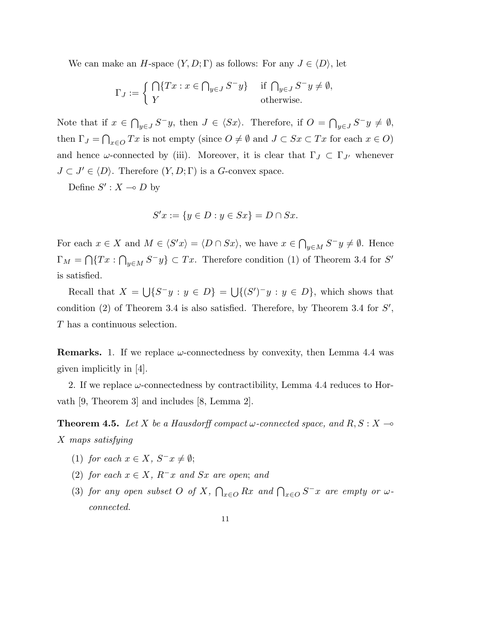We can make an H-space  $(Y, D; \Gamma)$  as follows: For any  $J \in \langle D \rangle$ , let

$$
\Gamma_J := \begin{cases} \bigcap \{ Tx : x \in \bigcap_{y \in J} S^- y \} & \text{if } \bigcap_{y \in J} S^- y \neq \emptyset, \\ Y & \text{otherwise.} \end{cases}
$$

Note that if  $x \in$  $\overline{a}$ y∈J  $S^-y$ , then  $J \in \langle Sx \rangle$ . Therefore, if  $O = \bigcap$  $y \in J S^{-}y \neq \emptyset,$ then  $\Gamma_J = \bigcap_{x \in O} Tx$  is not empty (since  $O \neq \emptyset$  and  $J \subset Sx \subset Tx$  for each  $x \in O$ )  $\overline{a}$ and hence  $\omega$ -connected by (iii). Moreover, it is clear that  $\Gamma_J \subset \Gamma_{J'}$  whenever  $J \subset J' \in \langle D \rangle$ . Therefore  $(Y, D; \Gamma)$  is a G-convex space.

Define  $S' : X \multimap D$  by

$$
S'x := \{ y \in D : y \in Sx \} = D \cap Sx.
$$

For each  $x \in X$  and  $M \in \langle S'x \rangle = \langle D \cap Sx \rangle$ , we have  $x \in$  $\overline{a}$  $y \in M$   $S^-y \neq \emptyset$ . Hence  $\Gamma_M = \bigcap \{Tx : \bigcap_{y \in M} S^{-}y\} \subset Tx.$  Therefore condition (1) of Theorem 3.4 for S'  $\overline{\phantom{a}}$ is satisfied.

Recall that  $X =$ S  ${S^-y : y \in D} = \bigcup$  $\{(S')^{\dagger}y : y \in D\}$ , which shows that condition  $(2)$  of Theorem 3.4 is also satisfied. Therefore, by Theorem 3.4 for  $S'$ , T has a continuous selection.

**Remarks.** 1. If we replace  $\omega$ -connectedness by convexity, then Lemma 4.4 was given implicitly in [4].

2. If we replace  $\omega$ -connectedness by contractibility, Lemma 4.4 reduces to Horvath [9, Theorem 3] and includes [8, Lemma 2].

**Theorem 4.5.** Let X be a Hausdorff compact  $\omega$ -connected space, and R, S : X  $\rightarrow$ X maps satisfying

- (1) for each  $x \in X$ ,  $S^-x \neq \emptyset$ ;
- (2) for each  $x \in X$ ,  $R^-x$  and  $Sx$  are open; and
- (3) for any open subset  $O$  of  $X$ ,  $\bigcap_{x\in O} Rx$  and  $\bigcap_{x\in O} S^- x$  are empty or  $\omega$ connected.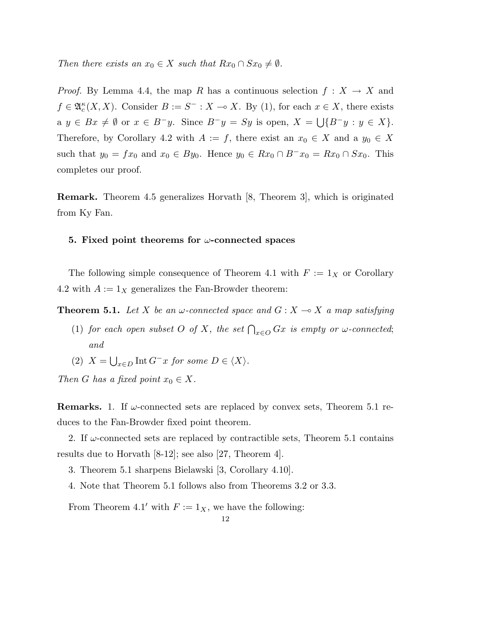Then there exists an  $x_0 \in X$  such that  $Rx_0 \cap Sx_0 \neq \emptyset$ .

*Proof.* By Lemma 4.4, the map R has a continuous selection  $f: X \to X$  and  $f \in \mathfrak{A}_{c}^{\kappa}(X,X)$ . Consider  $B := S^{-} : X \to X$ . By (1), for each  $x \in X$ , there exists  $a \ y \in Bx \neq \emptyset \text{ or } x \in B^{-}y.$  Since  $B^{-}y = Sy$  is open,  $X = \bigcup \{B^{-}y : y \in X\}.$ Therefore, by Corollary 4.2 with  $A := f$ , there exist an  $x_0 \in X$  and a  $y_0 \in X$ such that  $y_0 = fx_0$  and  $x_0 \in By_0$ . Hence  $y_0 \in Rx_0 \cap B^-x_0 = Rx_0 \cap Sx_0$ . This completes our proof.

Remark. Theorem 4.5 generalizes Horvath [8, Theorem 3], which is originated from Ky Fan.

### 5. Fixed point theorems for  $\omega$ -connected spaces

The following simple consequence of Theorem 4.1 with  $F := 1<sub>X</sub>$  or Corollary 4.2 with  $A := 1_X$  generalizes the Fan-Browder theorem:

**Theorem 5.1.** Let X be an  $\omega$ -connected space and  $G: X \to X$  a map satisfying

- (1) for each open subset O of X, the set  $\bigcap_{x\in O} Gx$  is empty or  $\omega$ -connected; and
- $(2)$  X =  $\bigcup_{x \in D} \text{Int } G^{-}x$  for some  $D \in \langle X \rangle$ .

Then G has a fixed point  $x_0 \in X$ .

**Remarks.** 1. If  $\omega$ -connected sets are replaced by convex sets, Theorem 5.1 reduces to the Fan-Browder fixed point theorem.

2. If  $\omega$ -connected sets are replaced by contractible sets, Theorem 5.1 contains results due to Horvath [8-12]; see also [27, Theorem 4].

- 3. Theorem 5.1 sharpens Bielawski [3, Corollary 4.10].
- 4. Note that Theorem 5.1 follows also from Theorems 3.2 or 3.3.

From Theorem 4.1' with  $F := 1_X$ , we have the following: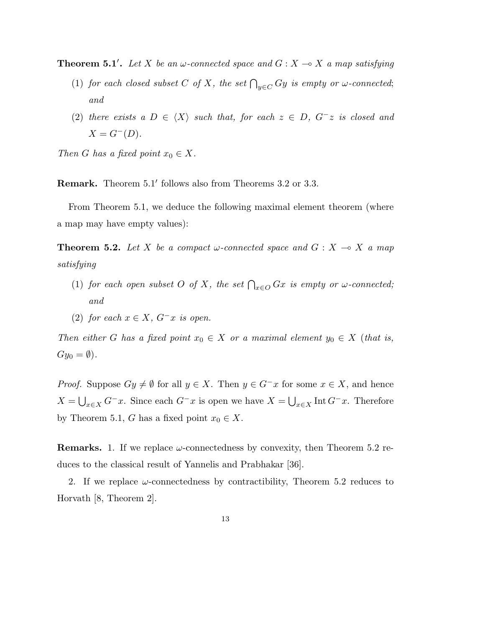**Theorem 5.1'.** Let X be an  $\omega$ -connected space and  $G : X \to X$  a map satisfying

- (1) for each closed subset C of X, the set  $\bigcap_{y\in C} Gy$  is empty or  $\omega$ -connected; and
- (2) there exists a  $D \in \langle X \rangle$  such that, for each  $z \in D$ ,  $G^-z$  is closed and  $X = G^{-}(D).$

Then G has a fixed point  $x_0 \in X$ .

Remark. Theorem 5.1' follows also from Theorems 3.2 or 3.3.

From Theorem 5.1, we deduce the following maximal element theorem (where a map may have empty values):

**Theorem 5.2.** Let X be a compact  $\omega$ -connected space and  $G : X \to X$  a map satisfying

- (1) for each open subset O of X, the set  $\bigcap_{x\in O} Gx$  is empty or  $\omega$ -connected; and
- (2) for each  $x \in X$ ,  $G^-x$  is open.

Then either G has a fixed point  $x_0 \in X$  or a maximal element  $y_0 \in X$  (that is,  $Gy_0 = \emptyset$ ).

*Proof.* Suppose  $Gy \neq \emptyset$  for all  $y \in X$ . Then  $y \in G^{-}x$  for some  $x \in X$ , and hence  $X =$  $\bigcup_{x\in X} G^{-}x$ . Since each  $G^{-}x$  is open we have  $X=\bigcup_{x\in X} \text{Int } G^{-}x$ . Therefore by Theorem 5.1, G has a fixed point  $x_0 \in X$ .

**Remarks.** 1. If we replace  $\omega$ -connectedness by convexity, then Theorem 5.2 reduces to the classical result of Yannelis and Prabhakar [36].

2. If we replace  $\omega$ -connectedness by contractibility, Theorem 5.2 reduces to Horvath [8, Theorem 2].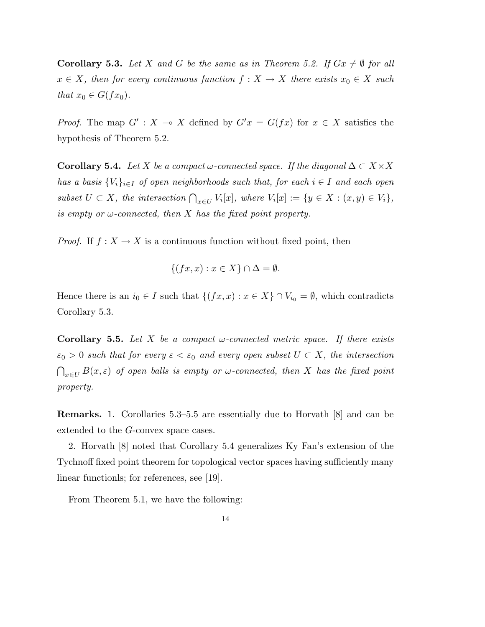**Corollary 5.3.** Let X and G be the same as in Theorem 5.2. If  $Gx \neq \emptyset$  for all  $x \in X$ , then for every continuous function  $f : X \to X$  there exists  $x_0 \in X$  such that  $x_0 \in G(fx_0)$ .

*Proof.* The map  $G' : X \to X$  defined by  $G'x = G(fx)$  for  $x \in X$  satisfies the hypothesis of Theorem 5.2.

**Corollary 5.4.** Let X be a compact  $\omega$ -connected space. If the diagonal  $\Delta \subset X \times X$ has a basis  ${V_i}_{i \in I}$  of open neighborhoods such that, for each  $i \in I$  and each open subset  $U \subset X$ , the intersection  $\bigcap_{x \in U} V_i[x]$ , where  $V_i[x] := \{y \in X : (x, y) \in V_i\},$ is empty or  $\omega$ -connected, then X has the fixed point property.

*Proof.* If  $f: X \to X$  is a continuous function without fixed point, then

$$
\{(fx, x) : x \in X\} \cap \Delta = \emptyset
$$

Hence there is an  $i_0 \in I$  such that  $\{(fx, x) : x \in X\} \cap V_{i_0} = \emptyset$ , which contradicts Corollary 5.3.

**Corollary 5.5.** Let X be a compact  $\omega$ -connected metric space. If there exists  $\varepsilon_0 > 0$  such that for every  $\varepsilon < \varepsilon_0$  and every open subset  $U \subset X$ , the intersection  $\overline{a}$  $\mathcal{L}_{x\in U} B(x,\varepsilon)$  of open balls is empty or  $\omega$ -connected, then X has the fixed point property.

Remarks. 1. Corollaries 5.3–5.5 are essentially due to Horvath [8] and can be extended to the G-convex space cases.

2. Horvath [8] noted that Corollary 5.4 generalizes Ky Fan's extension of the Tychnoff fixed point theorem for topological vector spaces having sufficiently many linear functionls; for references, see [19].

From Theorem 5.1, we have the following: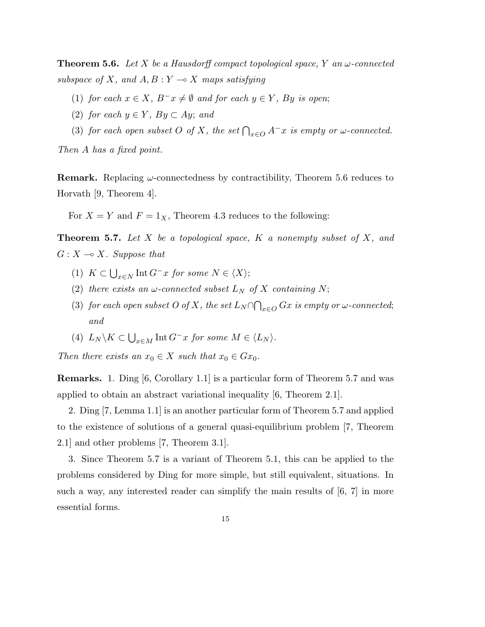**Theorem 5.6.** Let X be a Hausdorff compact topological space, Y an  $\omega$ -connected subspace of X, and  $A, B: Y \longrightarrow X$  maps satisfying

- (1) for each  $x \in X$ ,  $B^{-}x \neq \emptyset$  and for each  $y \in Y$ , By is open;
- (2) for each  $y \in Y$ ,  $By \subset Ay$ ; and
- (3) for each open subset O of X, the set  $\bigcap_{x\in O} A^{-x}$  is empty or  $\omega$ -connected.

Then A has a fixed point.

**Remark.** Replacing  $\omega$ -connectedness by contractibility, Theorem 5.6 reduces to Horvath [9, Theorem 4].

For  $X = Y$  and  $F = 1_X$ , Theorem 4.3 reduces to the following:

**Theorem 5.7.** Let  $X$  be a topological space,  $K$  a nonempty subset of  $X$ , and  $G: X \longrightarrow X$ . Suppose that

- $(1) K \subset$  $\bigcup_{x \in N} \text{Int } G^{-}x$  for some  $N \in \langle X \rangle;$
- (2) there exists an  $\omega$ -connected subset  $L_N$  of X containing N;
- (3) for each open subset O of X, the set  $L_N \cap$ ້  $_{x\in O}$  Gx is empty or  $\omega$ -connected; and
- (4)  $L_N \backslash K \subset$  $\bigcup_{x \in M} \text{Int } G^{-}x$  for some  $M \in \langle L_N \rangle$ .

Then there exists an  $x_0 \in X$  such that  $x_0 \in Gx_0$ .

Remarks. 1. Ding [6, Corollary 1.1] is a particular form of Theorem 5.7 and was applied to obtain an abstract variational inequality [6, Theorem 2.1].

2. Ding [7, Lemma 1.1] is an another particular form of Theorem 5.7 and applied to the existence of solutions of a general quasi-equilibrium problem [7, Theorem 2.1] and other problems [7, Theorem 3.1].

3. Since Theorem 5.7 is a variant of Theorem 5.1, this can be applied to the problems considered by Ding for more simple, but still equivalent, situations. In such a way, any interested reader can simplify the main results of [6, 7] in more essential forms.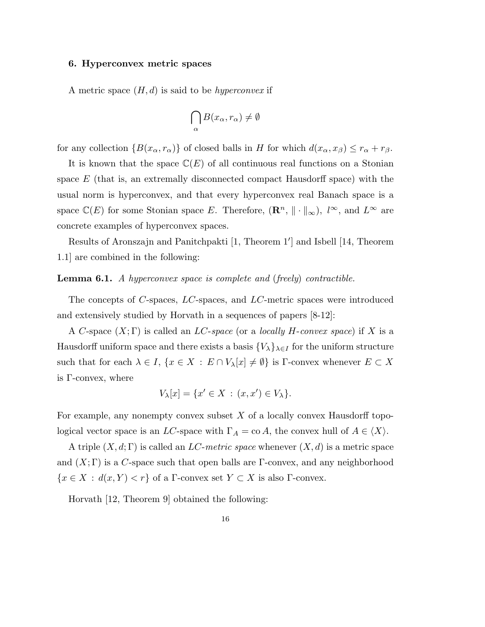# 6. Hyperconvex metric spaces

A metric space  $(H, d)$  is said to be *hyperconvex* if

$$
\bigcap_{\alpha} B(x_{\alpha}, r_{\alpha}) \neq \emptyset
$$

for any collection  $\{B(x_{\alpha}, r_{\alpha})\}$  of closed balls in H for which  $d(x_{\alpha}, x_{\beta}) \leq r_{\alpha} + r_{\beta}$ .

It is known that the space  $\mathbb{C}(E)$  of all continuous real functions on a Stonian space  $E$  (that is, an extremally disconnected compact Hausdorff space) with the usual norm is hyperconvex, and that every hyperconvex real Banach space is a space  $\mathbb{C}(E)$  for some Stonian space E. Therefore,  $(\mathbb{R}^n, \| \cdot \|_{\infty})$ ,  $l^{\infty}$ , and  $L^{\infty}$  are concrete examples of hyperconvex spaces.

Results of Aronszajn and Panitchpakti [1, Theorem 1'] and Isbell [14, Theorem 1.1] are combined in the following:

**Lemma 6.1.** A hyperconvex space is complete and (freely) contractible.

The concepts of C-spaces, LC-spaces, and LC-metric spaces were introduced and extensively studied by Horvath in a sequences of papers [8-12]:

A C-space  $(X; \Gamma)$  is called an *LC-space* (or a *locally H-convex space*) if X is a Hausdorff uniform space and there exists a basis  $\{V_\lambda\}_{\lambda \in I}$  for the uniform structure such that for each  $\lambda \in I$ ,  $\{x \in X : E \cap V_{\lambda}[x] \neq \emptyset\}$  is  $\Gamma$ -convex whenever  $E \subset X$ is Γ-convex, where

$$
V_{\lambda}[x] = \{x' \in X \,:\, (x, x') \in V_{\lambda}\}.
$$

For example, any nonempty convex subset  $X$  of a locally convex Hausdorff topological vector space is an LC-space with  $\Gamma_A = \text{co } A$ , the convex hull of  $A \in \langle X \rangle$ .

A triple  $(X, d; \Gamma)$  is called an LC-metric space whenever  $(X, d)$  is a metric space and  $(X; \Gamma)$  is a C-space such that open balls are  $\Gamma$ -convex, and any neighborhood  ${x \in X : d(x, Y) < r}$  of a Γ-convex set  $Y \subset X$  is also Γ-convex.

Horvath [12, Theorem 9] obtained the following: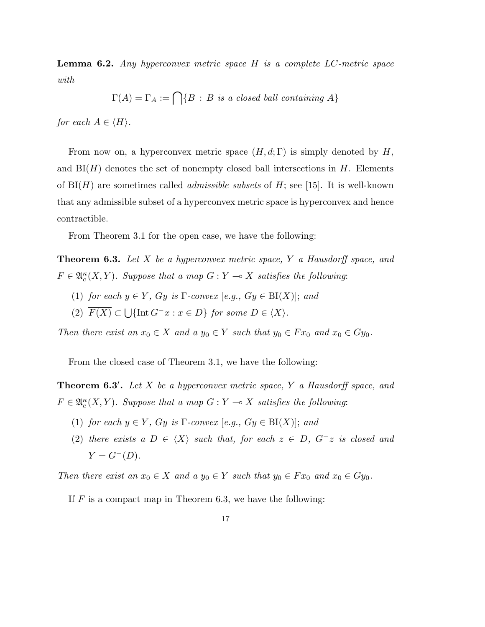**Lemma 6.2.** Any hyperconvex metric space  $H$  is a complete  $LC$ -metric space with

$$
\Gamma(A) = \Gamma_A := \bigcap \{ B : B \text{ is a closed ball containing } A \}
$$

for each  $A \in \langle H \rangle$ .

From now on, a hyperconvex metric space  $(H, d; \Gamma)$  is simply denoted by H, and  $BI(H)$  denotes the set of nonempty closed ball intersections in H. Elements of  $BI(H)$  are sometimes called *admissible subsets* of H; see [15]. It is well-known that any admissible subset of a hyperconvex metric space is hyperconvex and hence contractible.

From Theorem 3.1 for the open case, we have the following:

**Theorem 6.3.** Let X be a hyperconvex metric space, Y a Hausdorff space, and  $F \in \mathfrak{A}_{c}^{\kappa}(X, Y)$ . Suppose that a map  $G: Y \longrightarrow X$  satisfies the following:

- (1) for each  $y \in Y$ , Gy is  $\Gamma$ -convex [e.g., Gy  $\in$  BI(X)]; and
- $(2)$   $F(X) \subset$  $\bigcup \{\text{Int } G^{-}x : x \in D\}$  for some  $D \in \langle X \rangle$ .

Then there exist an  $x_0 \in X$  and a  $y_0 \in Y$  such that  $y_0 \in Fx_0$  and  $x_0 \in Gy_0$ .

From the closed case of Theorem 3.1, we have the following:

**Theorem 6.3'.** Let X be a hyperconvex metric space, Y a Hausdorff space, and  $F \in \mathfrak{A}_{c}^{\kappa}(X, Y)$ . Suppose that a map  $G: Y \longrightarrow X$  satisfies the following:

- (1) for each  $y \in Y$ , Gy is  $\Gamma$ -convex [e.g., Gy  $\in$  BI(X)]; and
- (2) there exists a  $D \in \langle X \rangle$  such that, for each  $z \in D$ ,  $G^-z$  is closed and  $Y = G^{-}(D).$

Then there exist an  $x_0 \in X$  and a  $y_0 \in Y$  such that  $y_0 \in Fx_0$  and  $x_0 \in Gy_0$ .

If  $F$  is a compact map in Theorem 6.3, we have the following: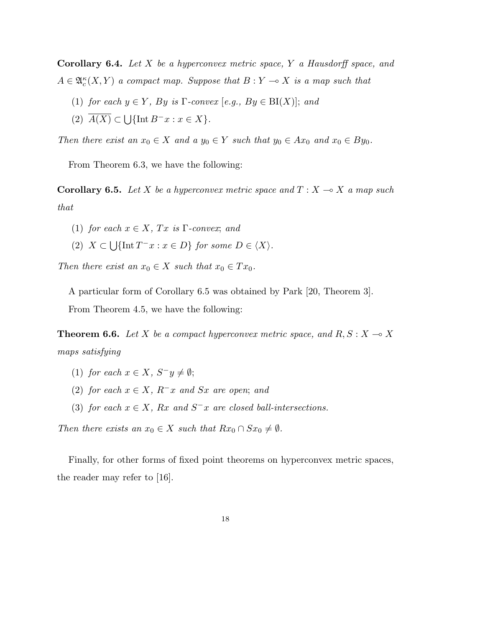**Corollary 6.4.** Let  $X$  be a hyperconvex metric space,  $Y$  a Hausdorff space, and  $A \in \mathfrak{A}_{c}^{\kappa}(X, Y)$  a compact map. Suppose that  $B: Y \multimap X$  is a map such that

- (1) for each  $y \in Y$ , By is  $\Gamma$ -convex [e.g., By  $\in$  BI(X)]; and
- $(2)$   $A(X) \subset$  $\bigcup \{\text{Int } B^{-}x : x \in X\}.$

Then there exist an  $x_0 \in X$  and a  $y_0 \in Y$  such that  $y_0 \in Ax_0$  and  $x_0 \in By_0$ .

From Theorem 6.3, we have the following:

**Corollary 6.5.** Let X be a hyperconvex metric space and  $T : X \rightarrow X$  a map such that

- (1) for each  $x \in X$ ,  $Tx$  is  $\Gamma$ -convex; and
- $(2)$  X  $\subset$ S  $\{\text{Int }T^{-}x : x \in D\}$  for some  $D \in \langle X \rangle$ .

Then there exist an  $x_0 \in X$  such that  $x_0 \in Tx_0$ .

A particular form of Corollary 6.5 was obtained by Park [20, Theorem 3].

From Theorem 4.5, we have the following:

**Theorem 6.6.** Let X be a compact hyperconvex metric space, and  $R, S: X \rightarrow X$ maps satisfying

- (1) for each  $x \in X$ ,  $S^-y \neq \emptyset$ ;
- (2) for each  $x \in X$ ,  $R^{-}x$  and  $Sx$  are open; and
- (3) for each  $x \in X$ ,  $Rx$  and  $S^{-}x$  are closed ball-intersections.

Then there exists an  $x_0 \in X$  such that  $Rx_0 \cap Sx_0 \neq \emptyset$ .

Finally, for other forms of fixed point theorems on hyperconvex metric spaces, the reader may refer to [16].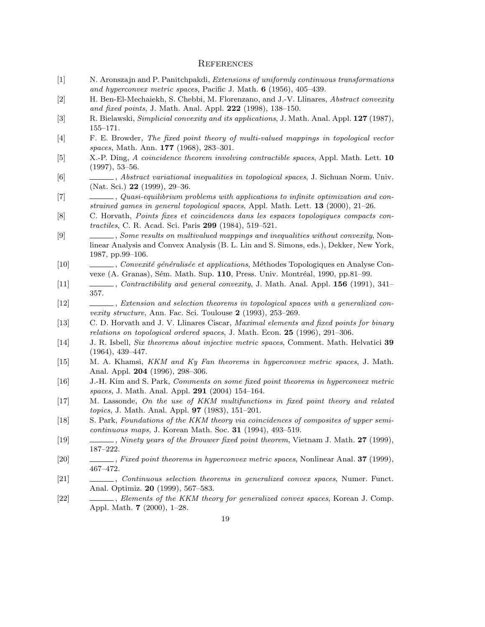#### **REFERENCES**

- [1] N. Aronszajn and P. Panitchpakdi, Extensions of uniformly continuous transformations and hyperconvex metric spaces, Pacific J. Math. 6 (1956), 405–439.
- [2] H. Ben-El-Mechaiekh, S. Chebbi, M. Florenzano, and J.-V. Llinares, Abstract convexity and fixed points, J. Math. Anal. Appl. 222 (1998), 138–150.
- [3] R. Bielawski, *Simplicial convexity and its applications*, J. Math. Anal. Appl. 127 (1987), 155–171.
- [4] F. E. Browder, The fixed point theory of multi-valued mappings in topological vector spaces, Math. Ann. **177** (1968), 283-301.
- [5] X.-P. Ding, A coincidence theorem involving contractible spaces, Appl. Math. Lett. 10 (1997), 53–56.
- [6] , Abstract variational inequalities in topological spaces, J. Sichuan Norm. Univ. (Nat. Sci.) 22 (1999), 29–36.
- [7] , Quasi-equilibrium problems with applications to infinite optimization and constrained games in general topological spaces, Appl. Math. Lett. 13 (2000), 21–26.
- [8] C. Horvath, Points fixes et coincidences dans les espaces topologiques compacts contractiles, C. R. Acad. Sci. Paris 299 (1984), 519–521.
- [9] , Some results on multivalued mappings and inequalities without convexity, Nonlinear Analysis and Convex Analysis (B. L. Lin and S. Simons, eds.), Dekker, New York, 1987, pp.99–106.
- [10] , Convexité généralisée et applications, Méthodes Topologiques en Analyse Convexe (A. Granas), Sém. Math. Sup. 110, Press. Univ. Montréal, 1990, pp.81–99.
- [11] , Contractibility and general convexity, J. Math. Anal. Appl. **156** (1991), 341– 357.
- [12] , Extension and selection theorems in topological spaces with a generalized convexity structure, Ann. Fac. Sci. Toulouse 2 (1993), 253-269.
- [13] C. D. Horvath and J. V. Llinares Ciscar, Maximal elements and fixed points for binary relations on topological ordered spaces, J. Math. Econ. 25 (1996), 291–306.
- [14] J. R. Isbell, Six theorems about injective metric spaces, Comment. Math. Helvatici 39 (1964), 439–447.
- [15] M. A. Khamsi, KKM and Ky Fan theorems in hyperconvex metric spaces, J. Math. Anal. Appl. 204 (1996), 298–306.
- [16] J.-H. Kim and S. Park, Comments on some fixed point theorems in hyperconvex metric spaces, J. Math. Anal. Appl. 291 (2004) 154–164.
- [17] M. Lassonde, On the use of KKM multifunctions in fixed point theory and related topics, J. Math. Anal. Appl. 97 (1983), 151–201.
- [18] S. Park, Foundations of the KKM theory via coincidences of composites of upper semicontinuous maps, J. Korean Math. Soc. 31 (1994), 493–519.
- [19] , Ninety years of the Brouwer fixed point theorem, Vietnam J. Math. 27 (1999), 187–222.
- [20] , Fixed point theorems in hyperconvex metric spaces, Nonlinear Anal. 37 (1999), 467–472.
- [21] , Continuous selection theorems in generalized convex spaces, Numer. Funct. Anal. Optimiz. 20 (1999), 567–583.
- [22] , Elements of the KKM theory for generalized convex spaces, Korean J. Comp. Appl. Math. 7 (2000), 1–28.